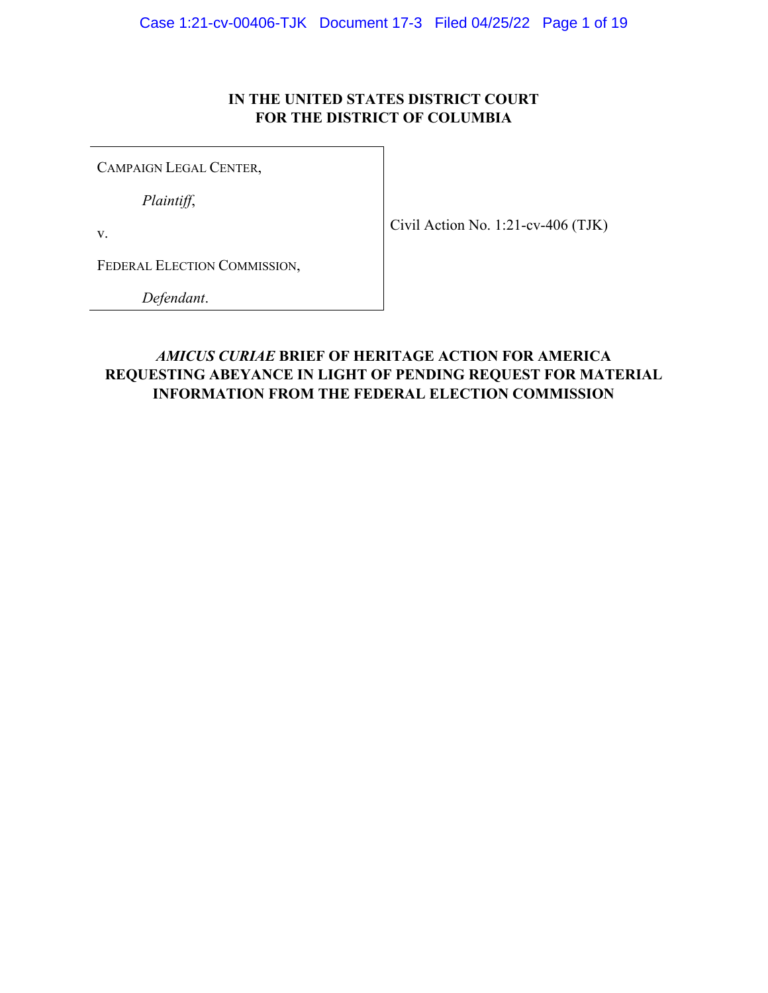### **IN THE UNITED STATES DISTRICT COURT FOR THE DISTRICT OF COLUMBIA**

<span id="page-0-0"></span>CAMPAIGN LEGAL CENTER,

*Plaintiff*,

v.

FEDERAL ELECTION COMMISSION,

*Defendant*.

### *AMICUS CURIAE* **BRIEF OF HERITAGE ACTION FOR AMERICA REQUESTING ABEYANCE IN LIGHT OF PENDING REQUEST FOR MATERIAL INFORMATION FROM THE FEDERAL ELECTION COMMISSION**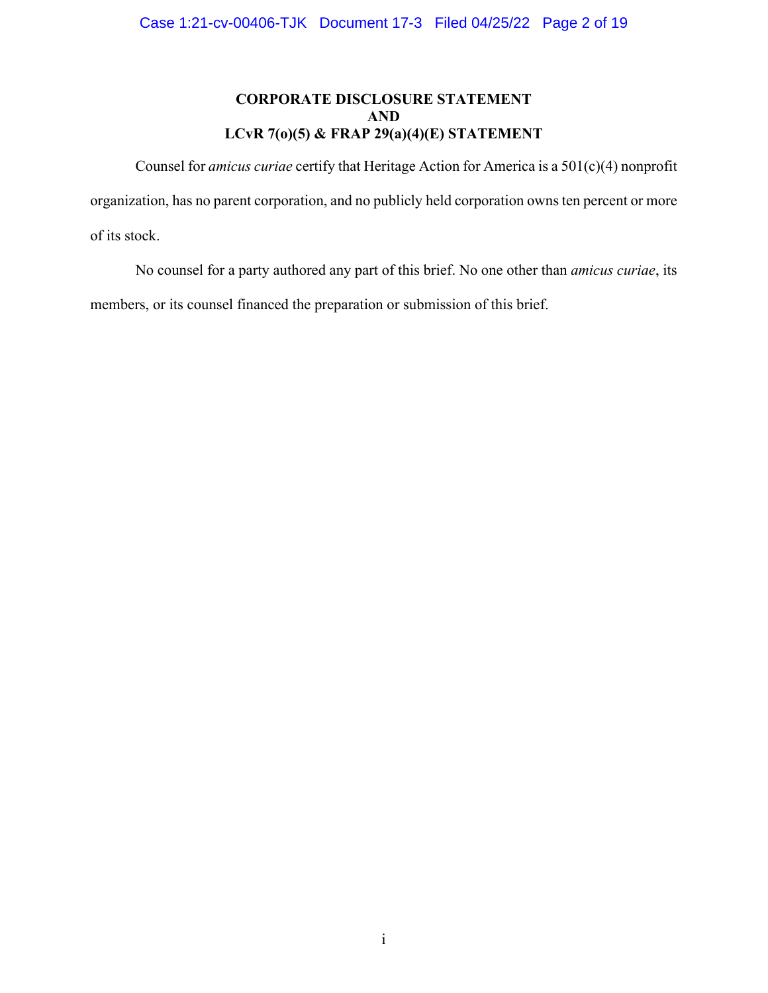### **CORPORATE DISCLOSURE STATEMENT AND LCvR 7(o)(5) & FRAP 29(a)(4)(E) STATEMENT**

<span id="page-1-0"></span> Counsel for *amicus curiae* certify that Heritage Action for America is a 501(c)(4) nonprofit organization, has no parent corporation, and no publicly held corporation owns ten percent or more of its stock.

No counsel for a party authored any part of this brief. No one other than *amicus curiae*, its members, or its counsel financed the preparation or submission of this brief.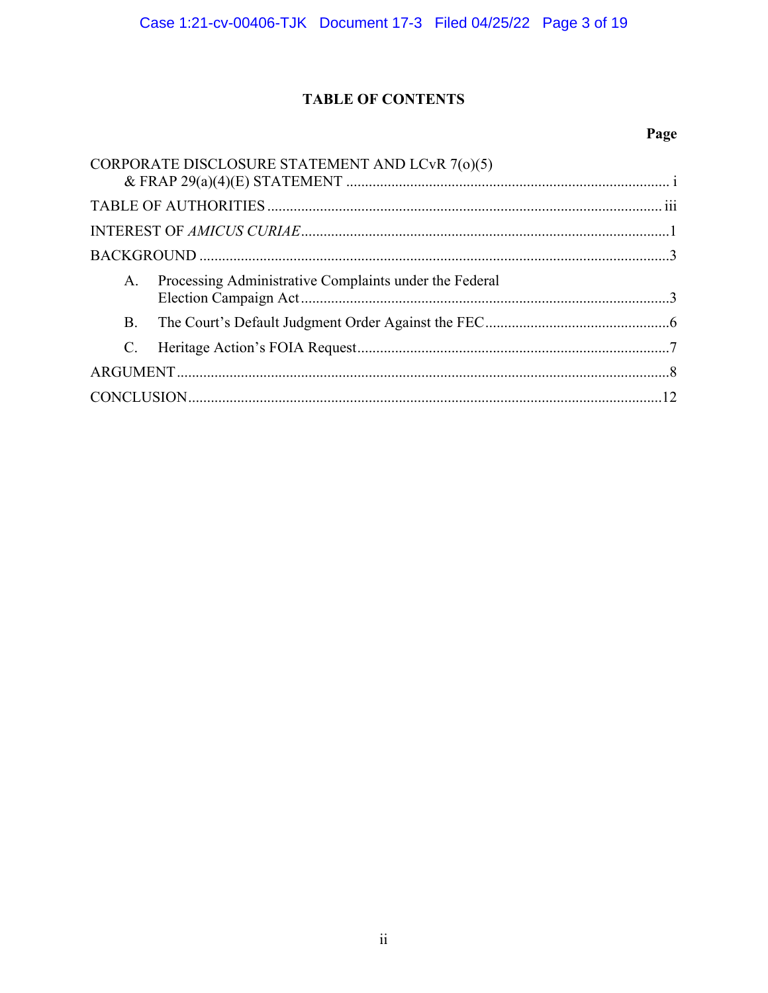# **TABLE OF CONTENTS**

# Page

<span id="page-2-0"></span>

| CORPORATE DISCLOSURE STATEMENT AND LCvR 7(0)(5)              |  |
|--------------------------------------------------------------|--|
|                                                              |  |
|                                                              |  |
|                                                              |  |
| Processing Administrative Complaints under the Federal<br>A. |  |
| <b>B.</b>                                                    |  |
| $C_{\cdot}$                                                  |  |
|                                                              |  |
|                                                              |  |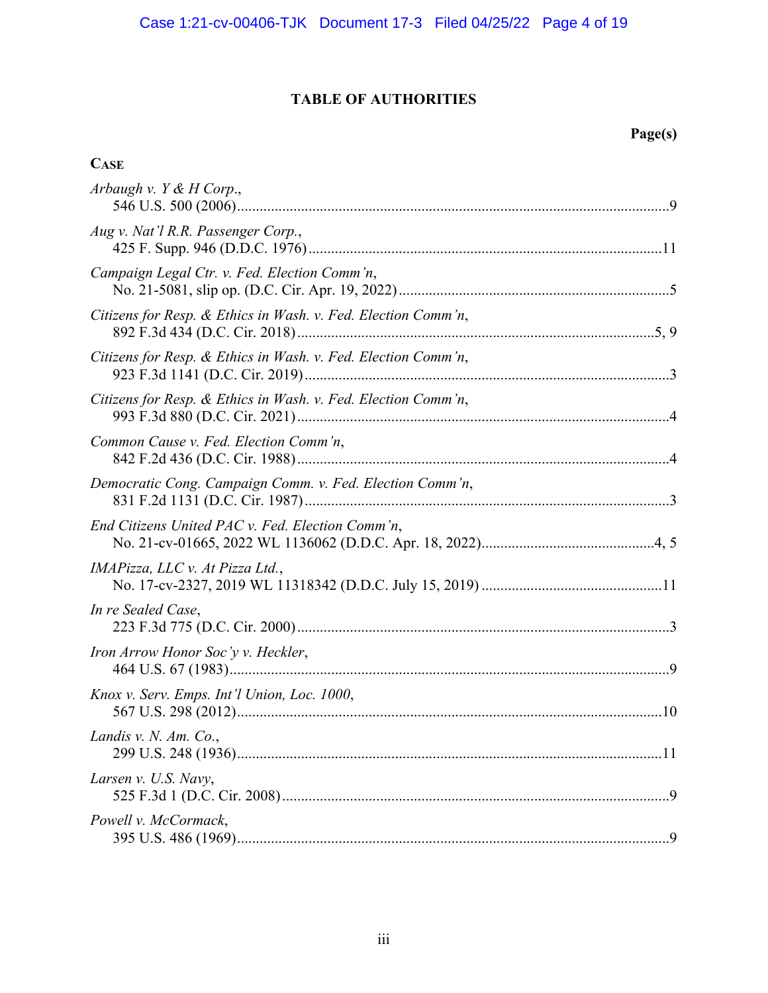# **TABLE OF AUTHORITIES**

# **Page(s)**

## <span id="page-3-0"></span>**CASE**

| Arbaugh v. $Y & H$ Corp.,                                     |
|---------------------------------------------------------------|
| Aug v. Nat'l R.R. Passenger Corp.,                            |
| Campaign Legal Ctr. v. Fed. Election Comm'n,                  |
| Citizens for Resp. & Ethics in Wash. v. Fed. Election Comm'n, |
| Citizens for Resp. & Ethics in Wash. v. Fed. Election Comm'n, |
| Citizens for Resp. & Ethics in Wash. v. Fed. Election Comm'n, |
| Common Cause v. Fed. Election Comm'n,                         |
| Democratic Cong. Campaign Comm. v. Fed. Election Comm'n,      |
| End Citizens United PAC v. Fed. Election Comm'n,              |
| IMAPizza, LLC v. At Pizza Ltd.,                               |
| In re Sealed Case,                                            |
| Iron Arrow Honor Soc'y v. Heckler,                            |
| Knox v. Serv. Emps. Int'l Union, Loc. 1000,                   |
| Landis v. N. Am. Co.,                                         |
| Larsen v. U.S. Navy,                                          |
| Powell v. McCormack,                                          |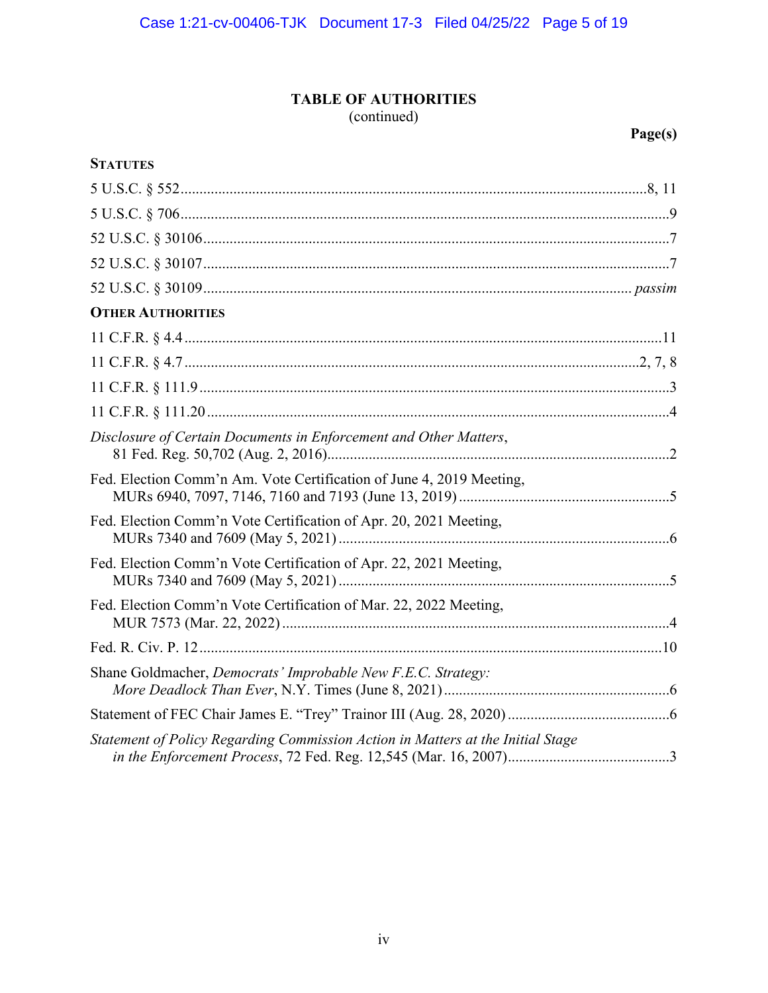# **TABLE OF AUTHORITIES**

(continued)

**Page(s)** 

| <b>STATUTES</b>                                                                 |
|---------------------------------------------------------------------------------|
|                                                                                 |
|                                                                                 |
|                                                                                 |
|                                                                                 |
|                                                                                 |
| <b>OTHER AUTHORITIES</b>                                                        |
|                                                                                 |
|                                                                                 |
|                                                                                 |
|                                                                                 |
| Disclosure of Certain Documents in Enforcement and Other Matters,               |
| Fed. Election Comm'n Am. Vote Certification of June 4, 2019 Meeting,            |
| Fed. Election Comm'n Vote Certification of Apr. 20, 2021 Meeting,               |
| Fed. Election Comm'n Vote Certification of Apr. 22, 2021 Meeting,               |
| Fed. Election Comm'n Vote Certification of Mar. 22, 2022 Meeting,               |
|                                                                                 |
| Shane Goldmacher, Democrats' Improbable New F.E.C. Strategy:                    |
|                                                                                 |
| Statement of Policy Regarding Commission Action in Matters at the Initial Stage |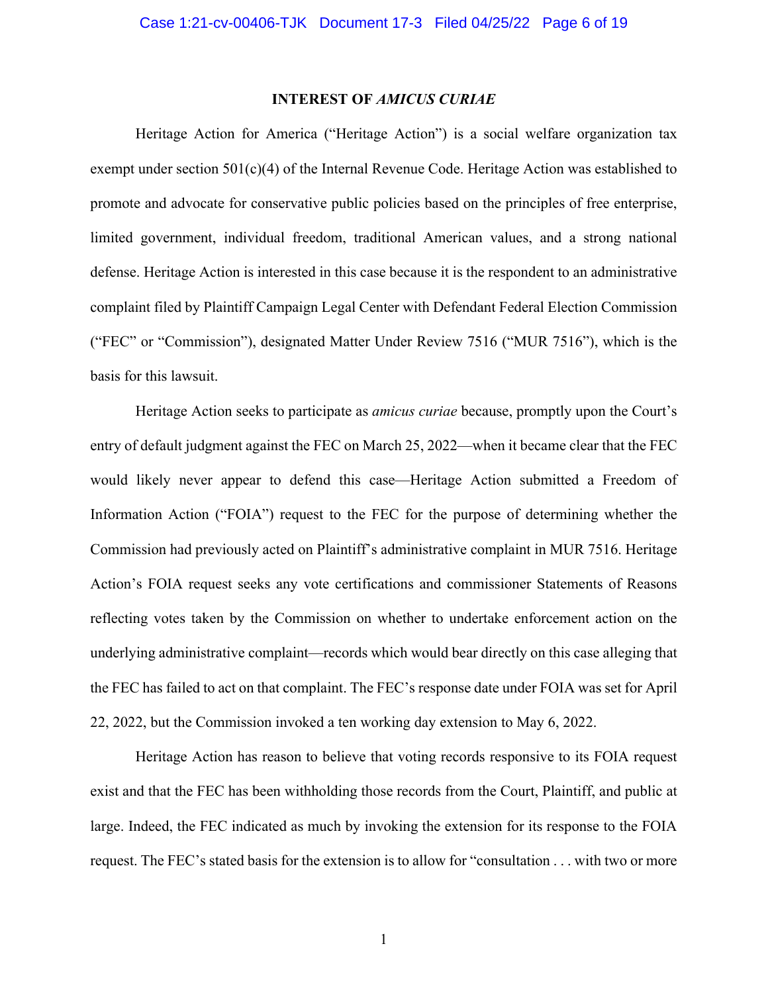#### **INTEREST OF** *AMICUS CURIAE*

<span id="page-5-0"></span>Heritage Action for America ("Heritage Action") is a social welfare organization tax exempt under section  $501(c)(4)$  of the Internal Revenue Code. Heritage Action was established to promote and advocate for conservative public policies based on the principles of free enterprise, limited government, individual freedom, traditional American values, and a strong national defense. Heritage Action is interested in this case because it is the respondent to an administrative complaint filed by Plaintiff Campaign Legal Center with Defendant Federal Election Commission ("FEC" or "Commission"), designated Matter Under Review 7516 ("MUR 7516"), which is the basis for this lawsuit.

Heritage Action seeks to participate as *amicus curiae* because, promptly upon the Court's entry of default judgment against the FEC on March 25, 2022—when it became clear that the FEC would likely never appear to defend this case—Heritage Action submitted a Freedom of Information Action ("FOIA") request to the FEC for the purpose of determining whether the Commission had previously acted on Plaintiff's administrative complaint in MUR 7516. Heritage Action's FOIA request seeks any vote certifications and commissioner Statements of Reasons reflecting votes taken by the Commission on whether to undertake enforcement action on the underlying administrative complaint—records which would bear directly on this case alleging that the FEC has failed to act on that complaint. The FEC's response date under FOIA was set for April 22, 2022, but the Commission invoked a ten working day extension to May 6, 2022.

Heritage Action has reason to believe that voting records responsive to its FOIA request exist and that the FEC has been withholding those records from the Court, Plaintiff, and public at large. Indeed, the FEC indicated as much by invoking the extension for its response to the FOIA request. The FEC's stated basis for the extension is to allow for "consultation . . . with two or more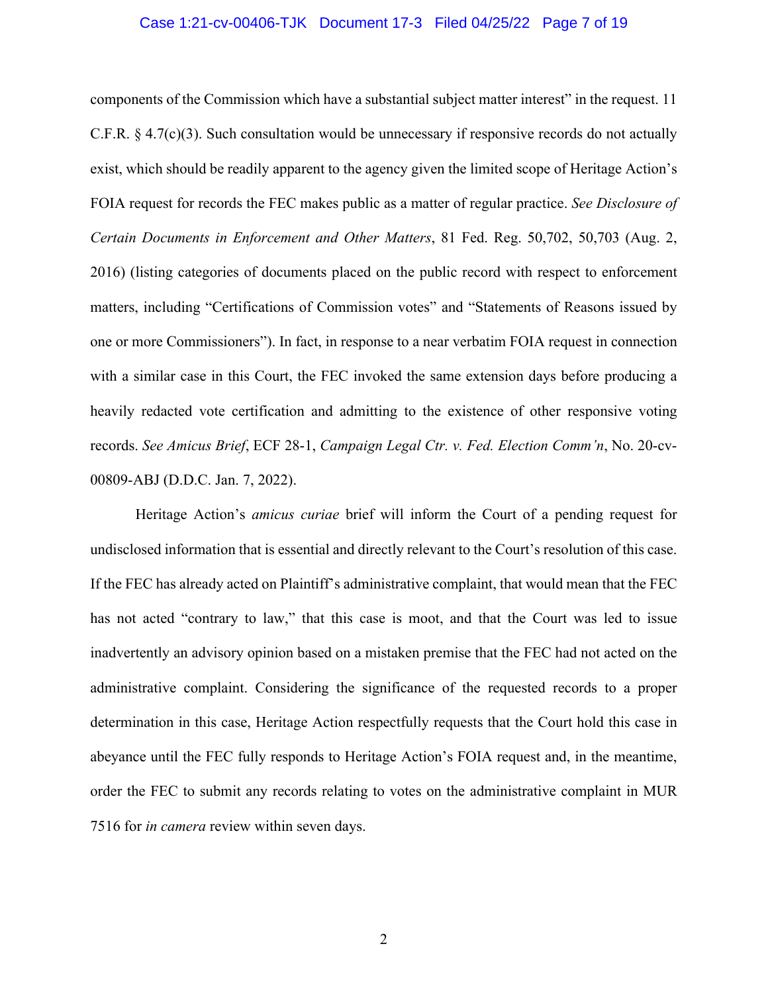#### Case 1:21-cv-00406-TJK Document 17-3 Filed 04/25/22 Page 7 of 19

<span id="page-6-0"></span>components of the Commission which have a substantial subject matter interest" in the request. 11 C.F.R. § 4.7(c)(3). Such consultation would be unnecessary if responsive records do not actually exist, which should be readily apparent to the agency given the limited scope of Heritage Action's FOIA request for records the FEC makes public as a matter of regular practice. *See Disclosure of Certain Documents in Enforcement and Other Matters*, 81 Fed. Reg. 50,702, 50,703 (Aug. 2, 2016) (listing categories of documents placed on the public record with respect to enforcement matters, including "Certifications of Commission votes" and "Statements of Reasons issued by one or more Commissioners"). In fact, in response to a near verbatim FOIA request in connection with a similar case in this Court, the FEC invoked the same extension days before producing a heavily redacted vote certification and admitting to the existence of other responsive voting records. *See Amicus Brief*, ECF 28-1, *Campaign Legal Ctr. v. Fed. Election Comm'n*, No. 20-cv-00809-ABJ (D.D.C. Jan. 7, 2022).

 Heritage Action's *amicus curiae* brief will inform the Court of a pending request for undisclosed information that is essential and directly relevant to the Court's resolution of this case. If the FEC has already acted on Plaintiff's administrative complaint, that would mean that the FEC has not acted "contrary to law," that this case is moot, and that the Court was led to issue inadvertently an advisory opinion based on a mistaken premise that the FEC had not acted on the administrative complaint. Considering the significance of the requested records to a proper determination in this case, Heritage Action respectfully requests that the Court hold this case in abeyance until the FEC fully responds to Heritage Action's FOIA request and, in the meantime, order the FEC to submit any records relating to votes on the administrative complaint in MUR 7516 for *in camera* review within seven days.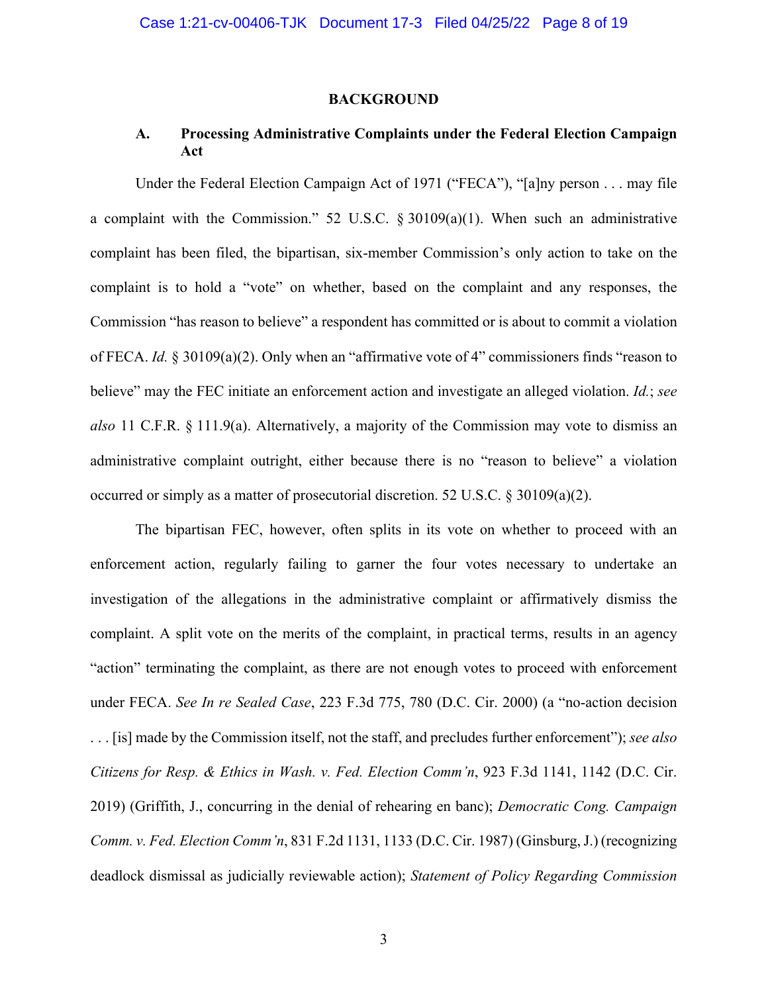#### **BACKGROUND**

### **A. Processing Administrative Complaints under the Federal Election Campaign Act**

Under the Federal Election Campaign Act of 1971 ("FECA"), "[a]ny person . . . may file a complaint with the Commission." 52 U.S.C. § 30109(a)(1). When such an administrative complaint has been filed, the bipartisan, six-member Commission's only action to take on the complaint is to hold a "vote" on whether, based on the complaint and any responses, the Commission "has reason to believe" a respondent has committed or is about to commit a violation of FECA. *Id.* § 30109(a)(2). Only when an "affirmative vote of 4" commissioners finds "reason to believe" may the FEC initiate an enforcement action and investigate an alleged violation. *Id.*; *see also* 11 C.F.R. § 111.9(a). Alternatively, a majority of the Commission may vote to dismiss an administrative complaint outright, either because there is no "reason to believe" a violation occurred or simply as a matter of prosecutorial discretion. 52 U.S.C. § 30109(a)(2).

The bipartisan FEC, however, often splits in its vote on whether to proceed with an enforcement action, regularly failing to garner the four votes necessary to undertake an investigation of the allegations in the administrative complaint or affirmatively dismiss the complaint. A split vote on the merits of the complaint, in practical terms, results in an agency "action" terminating the complaint, as there are not enough votes to proceed with enforcement under FECA. *See In re Sealed Case*, 223 F.3d 775, 780 (D.C. Cir. 2000) (a "no-action decision . . . [is] made by the Commission itself, not the staff, and precludes further enforcement"); *see also Citizens for Resp. & Ethics in Wash. v. Fed. Election Comm'n*, 923 F.3d 1141, 1142 (D.C. Cir. 2019) (Griffith, J., concurring in the denial of rehearing en banc); *Democratic Cong. Campaign Comm. v. Fed. Election Comm'n*, 831 F.2d 1131, 1133 (D.C. Cir. 1987) (Ginsburg, J.) (recognizing deadlock dismissal as judicially reviewable action); *Statement of Policy Regarding Commission*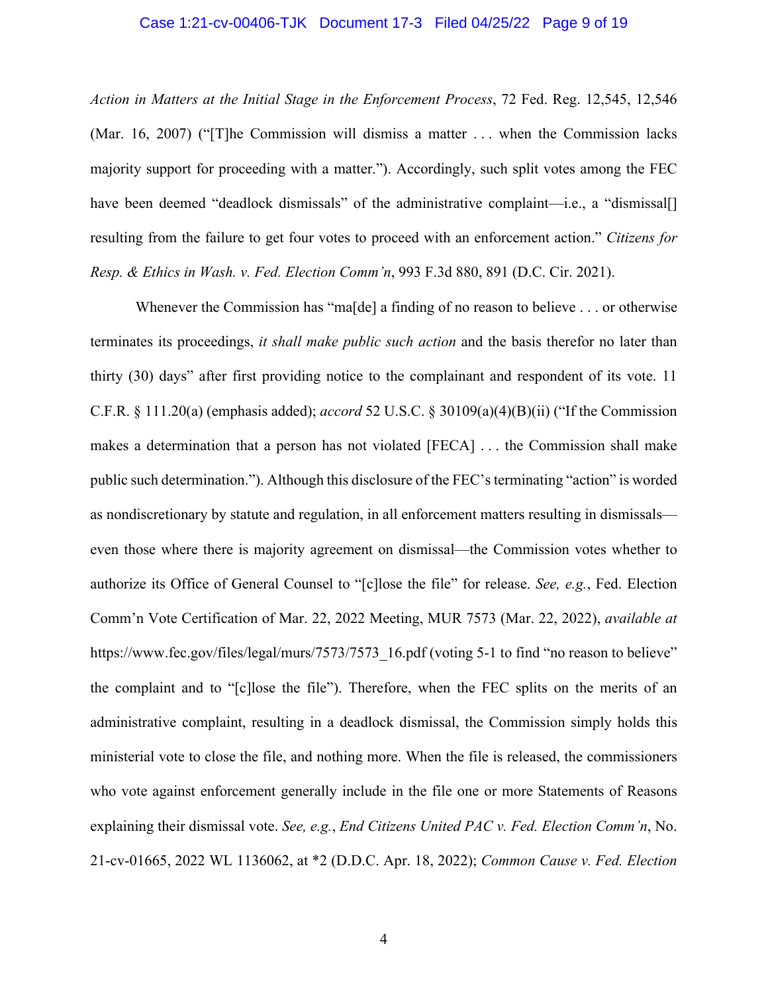#### Case 1:21-cv-00406-TJK Document 17-3 Filed 04/25/22 Page 9 of 19

*Action in Matters at the Initial Stage in the Enforcement Process*, 72 Fed. Reg. 12,545, 12,546 (Mar. 16, 2007) ("[T]he Commission will dismiss a matter . . . when the Commission lacks majority support for proceeding with a matter."). Accordingly, such split votes among the FEC have been deemed "deadlock dismissals" of the administrative complaint—i.e., a "dismissal[] resulting from the failure to get four votes to proceed with an enforcement action." *Citizens for Resp. & Ethics in Wash. v. Fed. Election Comm'n*, 993 F.3d 880, 891 (D.C. Cir. 2021).

Whenever the Commission has "ma[de] a finding of no reason to believe . . . or otherwise terminates its proceedings, *it shall make public such action* and the basis therefor no later than thirty (30) days" after first providing notice to the complainant and respondent of its vote. 11 C.F.R. § 111.20(a) (emphasis added); *accord* 52 U.S.C. § 30109(a)(4)(B)(ii) ("If the Commission makes a determination that a person has not violated [FECA] . . . the Commission shall make public such determination."). Although this disclosure of the FEC's terminating "action" is worded as nondiscretionary by statute and regulation, in all enforcement matters resulting in dismissals even those where there is majority agreement on dismissal—the Commission votes whether to authorize its Office of General Counsel to "[c]lose the file" for release. *See, e.g.*, Fed. Election Comm'n Vote Certification of Mar. 22, 2022 Meeting, MUR 7573 (Mar. 22, 2022), *available at*  [https://www.fec.gov/files/legal/murs/7573/7573\\_16.pdf](https://www.fec.gov/files/legal/murs/7573/7573_16.pdf) (voting 5-1 to find "no reason to believe" the complaint and to "[c]lose the file"). Therefore, when the FEC splits on the merits of an administrative complaint, resulting in a deadlock dismissal, the Commission simply holds this ministerial vote to close the file, and nothing more. When the file is released, the commissioners who vote against enforcement generally include in the file one or more Statements of Reasons explaining their dismissal vote. *See, e.g.*, *End Citizens United PAC v. Fed. Election Comm'n*, No. 21-cv-01665, 2022 WL 1136062, at \*2 (D.D.C. Apr. 18, 2022); *Common Cause v. Fed. Election*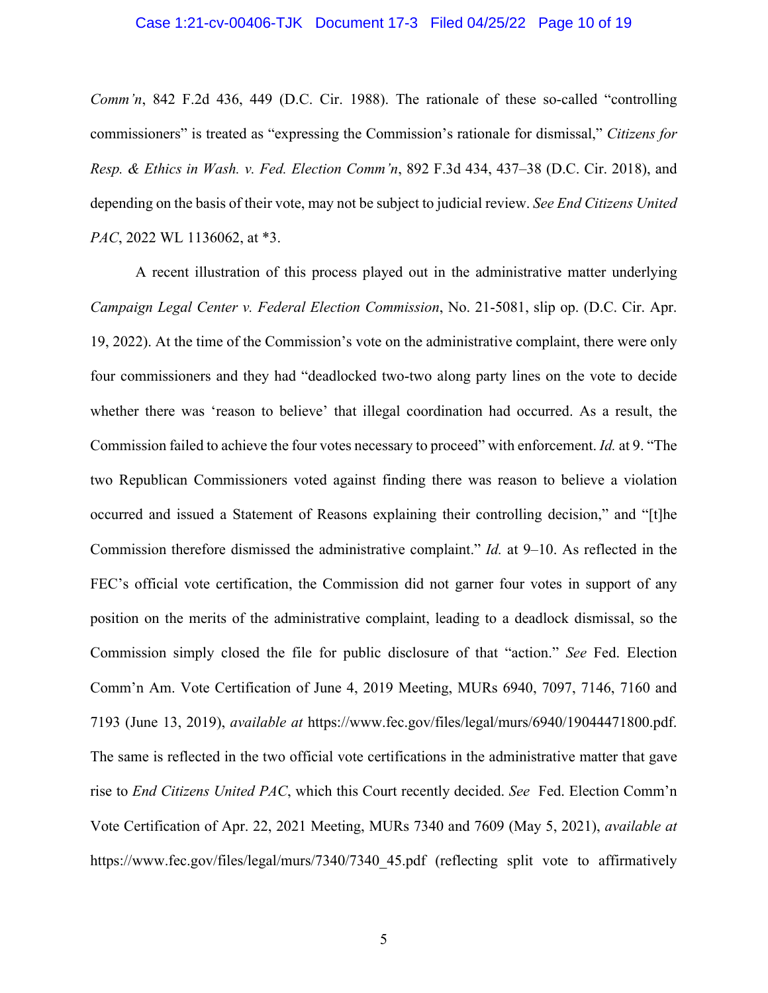#### Case 1:21-cv-00406-TJK Document 17-3 Filed 04/25/22 Page 10 of 19

*Comm'n*, 842 F.2d 436, 449 (D.C. Cir. 1988). The rationale of these so-called "controlling commissioners" is treated as "expressing the Commission's rationale for dismissal," *Citizens for Resp. & Ethics in Wash. v. Fed. Election Comm'n*, 892 F.3d 434, 437–38 (D.C. Cir. 2018), and depending on the basis of their vote, may not be subject to judicial review. *See End Citizens United PAC*, 2022 WL 1136062, at \*3.

A recent illustration of this process played out in the administrative matter underlying *Campaign Legal Center v. Federal Election Commission*, No. 21-5081, slip op. (D.C. Cir. Apr. 19, 2022). At the time of the Commission's vote on the administrative complaint, there were only four commissioners and they had "deadlocked two-two along party lines on the vote to decide whether there was 'reason to believe' that illegal coordination had occurred. As a result, the Commission failed to achieve the four votes necessary to proceed" with enforcement. *Id.* at 9. "The two Republican Commissioners voted against finding there was reason to believe a violation occurred and issued a Statement of Reasons explaining their controlling decision," and "[t]he Commission therefore dismissed the administrative complaint." *Id.* at 9–10. As reflected in the FEC's official vote certification, the Commission did not garner four votes in support of any position on the merits of the administrative complaint, leading to a deadlock dismissal, so the Commission simply closed the file for public disclosure of that "action." *See* Fed. Election Comm'n Am. Vote Certification of June 4, 2019 Meeting, MURs 6940, 7097, 7146, 7160 and 7193 (June 13, 2019), *available at* [https://www.fec.gov/files/legal/murs/6940/19044471800.pdf.](https://www.fec.gov/files/legal/murs/6940/19044471800.pdf) The same is reflected in the two official vote certifications in the administrative matter that gave rise to *End Citizens United PAC*, which this Court recently decided. *See* Fed. Election Comm'n Vote Certification of Apr. 22, 2021 Meeting, MURs 7340 and 7609 (May 5, 2021), *available at*  https://www.fec.gov/files/legal/murs/7340/7340 45.pdf (reflecting split vote to affirmatively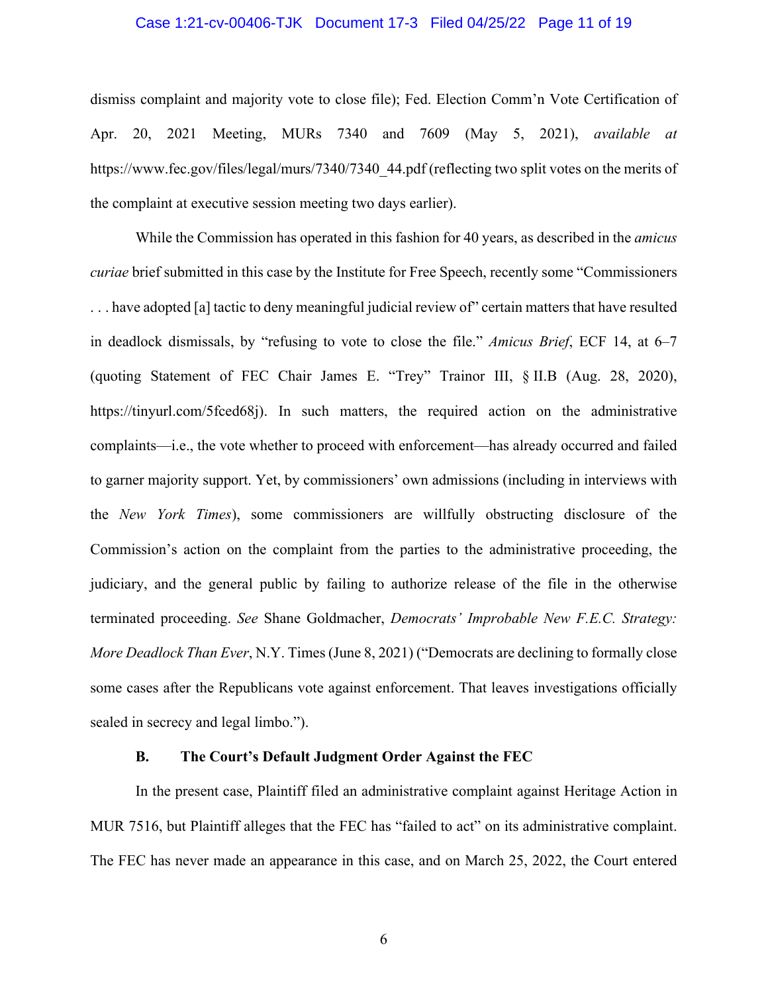#### Case 1:21-cv-00406-TJK Document 17-3 Filed 04/25/22 Page 11 of 19

dismiss complaint and majority vote to close file); Fed. Election Comm'n Vote Certification of Apr. 20, 2021 Meeting, MURs 7340 and 7609 (May 5, 2021), *available at*  [https://www.fec.gov/files/legal/murs/7340/7340\\_44.pdf](https://www.fec.gov/files/legal/murs/7340/7340_44.pdf) (reflecting two split votes on the merits of the complaint at executive session meeting two days earlier).

While the Commission has operated in this fashion for 40 years, as described in the *amicus curiae* brief submitted in this case by the Institute for Free Speech, recently some "Commissioners . . . have adopted [a] tactic to deny meaningful judicial review of" certain matters that have resulted in deadlock dismissals, by "refusing to vote to close the file." *Amicus Brief*, ECF 14, at 6–7 (quoting Statement of FEC Chair James E. "Trey" Trainor III, § II.B (Aug. 28, 2020), <https://tinyurl.com/5fced68j>). In such matters, the required action on the administrative complaints—i.e., the vote whether to proceed with enforcement—has already occurred and failed to garner majority support. Yet, by commissioners' own admissions (including in interviews with the *New York Times*), some commissioners are willfully obstructing disclosure of the Commission's action on the complaint from the parties to the administrative proceeding, the judiciary, and the general public by failing to authorize release of the file in the otherwise terminated proceeding. *See* Shane Goldmacher, *Democrats' Improbable New F.E.C. Strategy: More Deadlock Than Ever*, N.Y. Times (June 8, 2021) ("Democrats are declining to formally close some cases after the Republicans vote against enforcement. That leaves investigations officially sealed in secrecy and legal limbo.").

#### **B. The Court's Default Judgment Order Against the FEC**

In the present case, Plaintiff filed an administrative complaint against Heritage Action in MUR 7516, but Plaintiff alleges that the FEC has "failed to act" on its administrative complaint. The FEC has never made an appearance in this case, and on March 25, 2022, the Court entered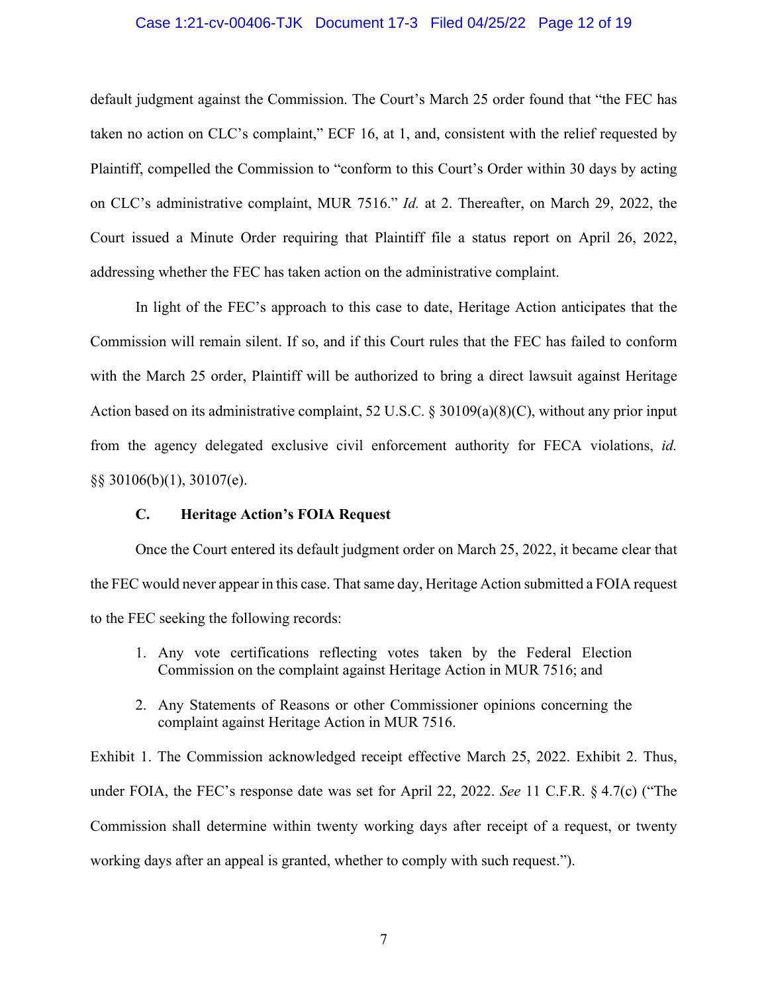#### Case 1:21-cv-00406-TJK Document 17-3 Filed 04/25/22 Page 12 of 19

default judgment against the Commission. The Court's March 25 order found that "the FEC has taken no action on CLC's complaint," ECF 16, at 1, and, consistent with the relief requested by Plaintiff, compelled the Commission to "conform to this Court's Order within 30 days by acting on CLC's administrative complaint, MUR 7516." *Id.* at 2. Thereafter, on March 29, 2022, the Court issued a Minute Order requiring that Plaintiff file a status report on April 26, 2022, addressing whether the FEC has taken action on the administrative complaint.

In light of the FEC's approach to this case to date, Heritage Action anticipates that the Commission will remain silent. If so, and if this Court rules that the FEC has failed to conform with the March 25 order, Plaintiff will be authorized to bring a direct lawsuit against Heritage Action based on its administrative complaint, 52 U.S.C. § 30109(a)(8)(C), without any prior input from the agency delegated exclusive civil enforcement authority for FECA violations, *id.*  §§ 30106(b)(1), 30107(e).

#### **C. Heritage Action's FOIA Request**

Once the Court entered its default judgment order on March 25, 2022, it became clear that the FEC would never appear in this case. That same day, Heritage Action submitted a FOIA request to the FEC seeking the following records:

- 1. Any vote certifications reflecting votes taken by the Federal Election Commission on the complaint against Heritage Action in MUR 7516; and
- 2. Any Statements of Reasons or other Commissioner opinions concerning the complaint against Heritage Action in MUR 7516.

Exhibit 1. The Commission acknowledged receipt effective March 25, 2022. Exhibit 2. Thus, under FOIA, the FEC's response date was set for April 22, 2022. *See* 11 C.F.R. § 4.7(c) ("The Commission shall determine within twenty working days after receipt of a request, or twenty working days after an appeal is granted, whether to comply with such request.").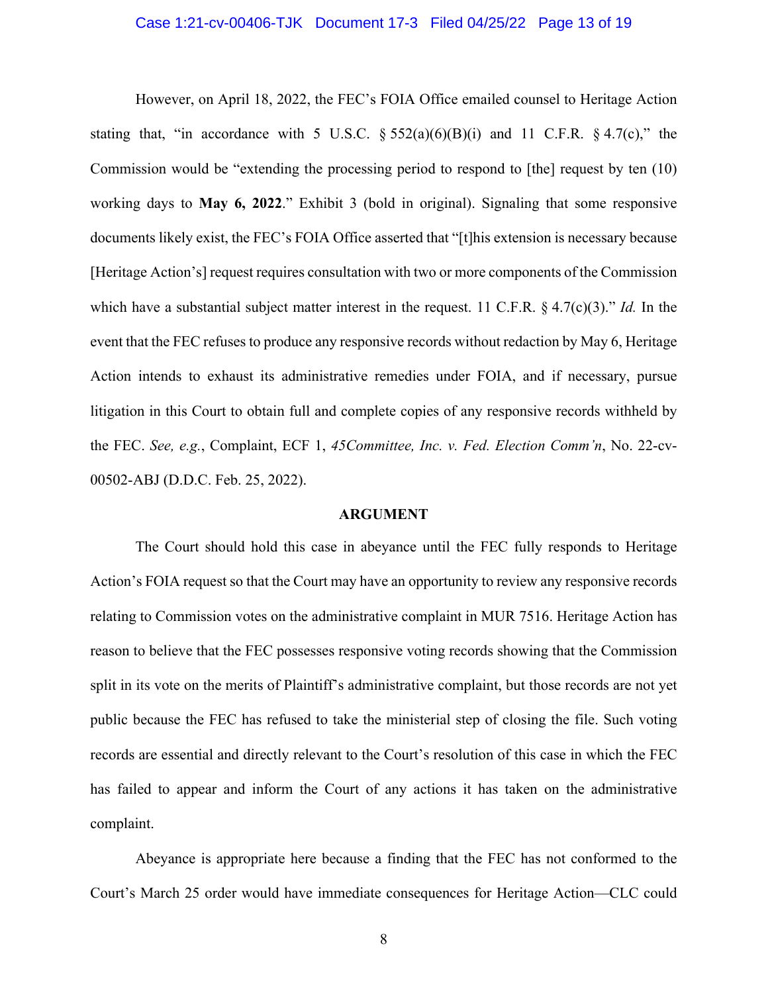#### Case 1:21-cv-00406-TJK Document 17-3 Filed 04/25/22 Page 13 of 19

<span id="page-12-0"></span>However, on April 18, 2022, the FEC's FOIA Office emailed counsel to Heritage Action stating that, "in accordance with 5 U.S.C.  $\S 552(a)(6)(B)(i)$  and 11 C.F.R.  $\S 4.7(c)$ ," the Commission would be "extending the processing period to respond to [the] request by ten (10) working days to **May 6, 2022**." Exhibit 3 (bold in original). Signaling that some responsive documents likely exist, the FEC's FOIA Office asserted that "[t]his extension is necessary because [Heritage Action's] request requires consultation with two or more components of the Commission which have a substantial subject matter interest in the request. 11 C.F.R. § 4.7(c)(3)." *Id.* In the event that the FEC refuses to produce any responsive records without redaction by May 6, Heritage Action intends to exhaust its administrative remedies under FOIA, and if necessary, pursue litigation in this Court to obtain full and complete copies of any responsive records withheld by the FEC. *See, e.g.*, Complaint, ECF 1, *45Committee, Inc. v. Fed. Election Comm'n*, No. 22-cv-00502-ABJ (D.D.C. Feb. 25, 2022).

#### **ARGUMENT**

The Court should hold this case in abeyance until the FEC fully responds to Heritage Action's FOIA request so that the Court may have an opportunity to review any responsive records relating to Commission votes on the administrative complaint in MUR 7516. Heritage Action has reason to believe that the FEC possesses responsive voting records showing that the Commission split in its vote on the merits of Plaintiff's administrative complaint, but those records are not yet public because the FEC has refused to take the ministerial step of closing the file. Such voting records are essential and directly relevant to the Court's resolution of this case in which the FEC has failed to appear and inform the Court of any actions it has taken on the administrative complaint.

Abeyance is appropriate here because a finding that the FEC has not conformed to the Court's March 25 order would have immediate consequences for Heritage Action—CLC could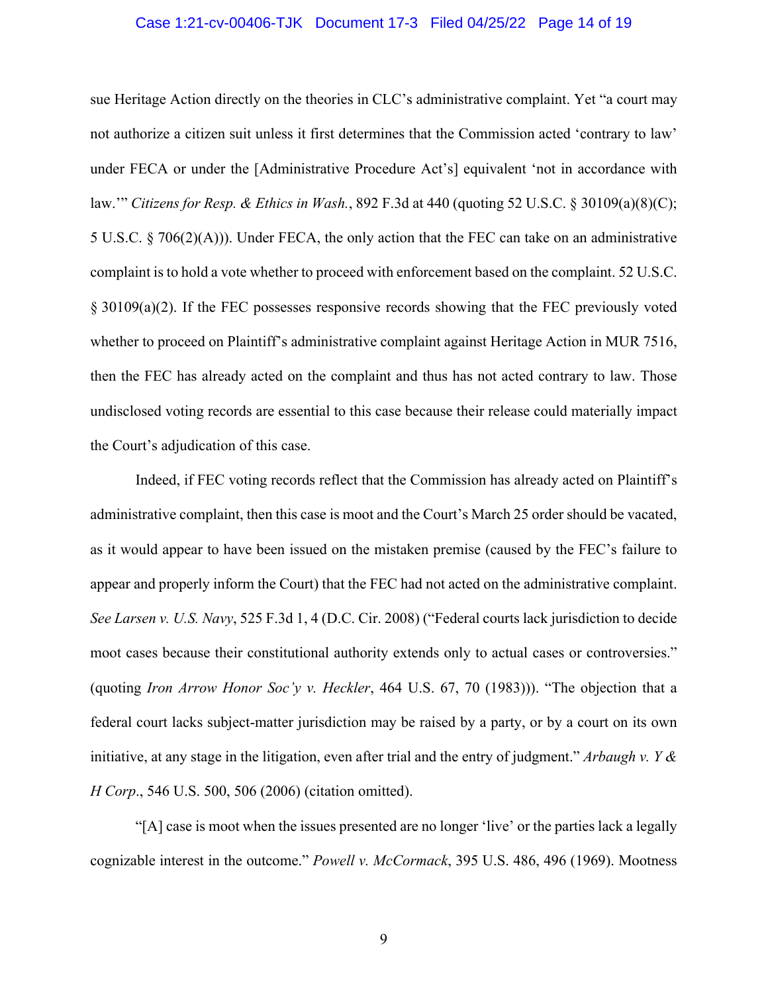#### Case 1:21-cv-00406-TJK Document 17-3 Filed 04/25/22 Page 14 of 19

<span id="page-13-0"></span>sue Heritage Action directly on the theories in CLC's administrative complaint. Yet "a court may not authorize a citizen suit unless it first determines that the Commission acted 'contrary to law' under FECA or under the [Administrative Procedure Act's] equivalent 'not in accordance with law.'" *Citizens for Resp. & Ethics in Wash.*, 892 F.3d at 440 (quoting 52 U.S.C. § 30109(a)(8)(C); 5 U.S.C. § 706(2)(A))). Under FECA, the only action that the FEC can take on an administrative complaint is to hold a vote whether to proceed with enforcement based on the complaint. 52 U.S.C. § 30109(a)(2). If the FEC possesses responsive records showing that the FEC previously voted whether to proceed on Plaintiff's administrative complaint against Heritage Action in MUR 7516, then the FEC has already acted on the complaint and thus has not acted contrary to law. Those undisclosed voting records are essential to this case because their release could materially impact the Court's adjudication of this case.

Indeed, if FEC voting records reflect that the Commission has already acted on Plaintiff's administrative complaint, then this case is moot and the Court's March 25 order should be vacated, as it would appear to have been issued on the mistaken premise (caused by the FEC's failure to appear and properly inform the Court) that the FEC had not acted on the administrative complaint. *See Larsen v. U.S. Navy*, 525 F.3d 1, 4 (D.C. Cir. 2008) ("Federal courts lack jurisdiction to decide moot cases because their constitutional authority extends only to actual cases or controversies." (quoting *Iron Arrow Honor Soc'y v. Heckler*, 464 U.S. 67, 70 (1983))). "The objection that a federal court lacks subject-matter jurisdiction may be raised by a party, or by a court on its own initiative, at any stage in the litigation, even after trial and the entry of judgment." *Arbaugh v. Y & H Corp*., 546 U.S. 500, 506 (2006) (citation omitted).

"[A] case is moot when the issues presented are no longer 'live' or the parties lack a legally cognizable interest in the outcome." *Powell v. McCormack*, 395 U.S. 486, 496 (1969). Mootness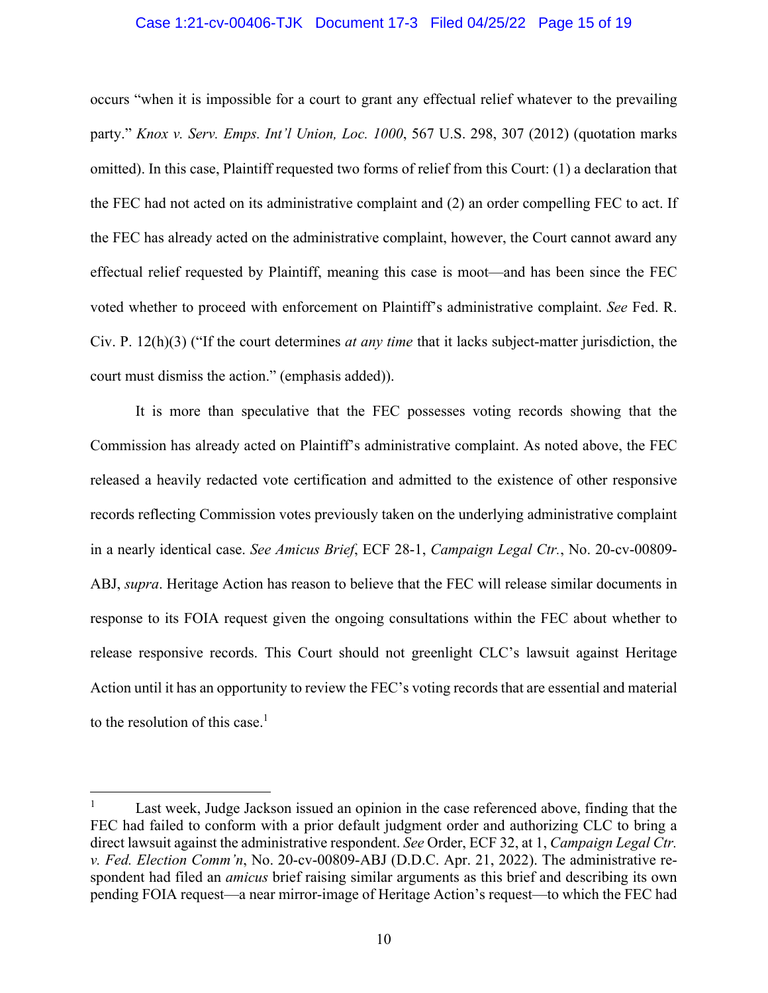#### Case 1:21-cv-00406-TJK Document 17-3 Filed 04/25/22 Page 15 of 19

<span id="page-14-0"></span>occurs "when it is impossible for a court to grant any effectual relief whatever to the prevailing party." *Knox v. Serv. Emps. Int'l Union, Loc. 1000*, 567 U.S. 298, 307 (2012) (quotation marks omitted). In this case, Plaintiff requested two forms of relief from this Court: (1) a declaration that the FEC had not acted on its administrative complaint and (2) an order compelling FEC to act. If the FEC has already acted on the administrative complaint, however, the Court cannot award any effectual relief requested by Plaintiff, meaning this case is moot—and has been since the FEC voted whether to proceed with enforcement on Plaintiff's administrative complaint. *See* Fed. R. Civ. P. 12(h)(3) ("If the court determines *at any time* that it lacks subject-matter jurisdiction, the court must dismiss the action." (emphasis added)).

It is more than speculative that the FEC possesses voting records showing that the Commission has already acted on Plaintiff's administrative complaint. As noted above, the FEC released a heavily redacted vote certification and admitted to the existence of other responsive records reflecting Commission votes previously taken on the underlying administrative complaint in a nearly identical case. *See Amicus Brief*, ECF 28-1, *Campaign Legal Ctr.*, No. 20-cv-00809- ABJ, *supra*. Heritage Action has reason to believe that the FEC will release similar documents in response to its FOIA request given the ongoing consultations within the FEC about whether to release responsive records. This Court should not greenlight CLC's lawsuit against Heritage Action until it has an opportunity to review the FEC's voting records that are essential and material to the resolution of this case.<sup>1</sup>

 1 Last week, Judge Jackson issued an opinion in the case referenced above, finding that the FEC had failed to conform with a prior default judgment order and authorizing CLC to bring a direct lawsuit against the administrative respondent. *See* Order, ECF 32, at 1, *Campaign Legal Ctr. v. Fed. Election Comm'n*, No. 20-cv-00809-ABJ (D.D.C. Apr. 21, 2022). The administrative respondent had filed an *amicus* brief raising similar arguments as this brief and describing its own pending FOIA request—a near mirror-image of Heritage Action's request—to which the FEC had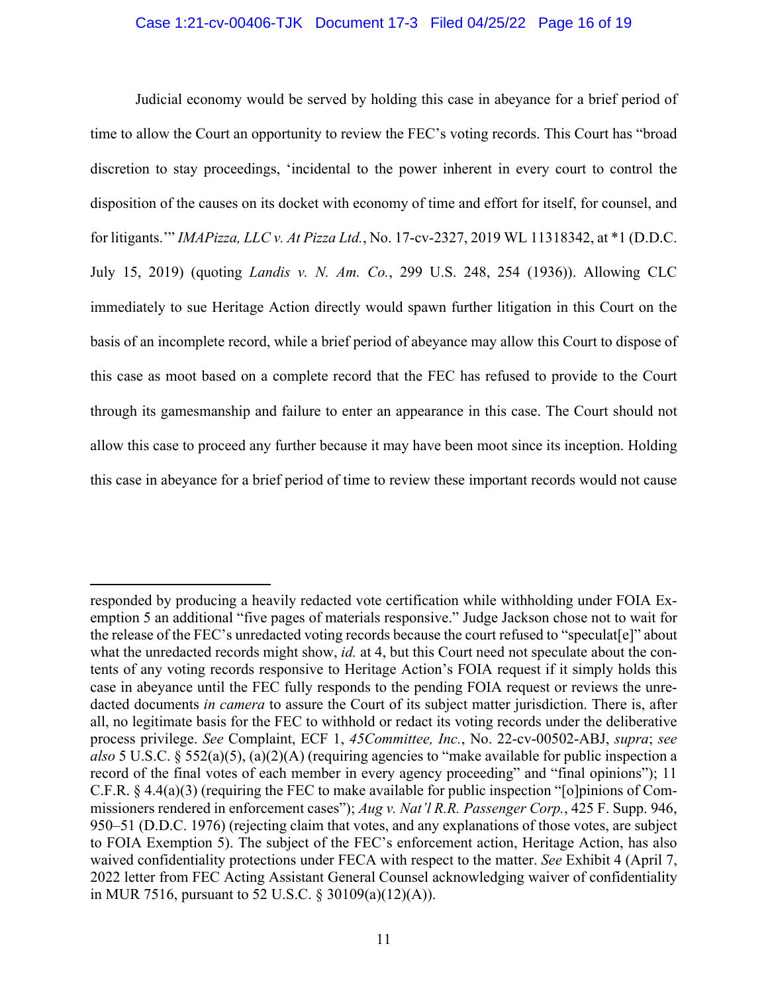#### Case 1:21-cv-00406-TJK Document 17-3 Filed 04/25/22 Page 16 of 19

<span id="page-15-0"></span>Judicial economy would be served by holding this case in abeyance for a brief period of time to allow the Court an opportunity to review the FEC's voting records. This Court has "broad discretion to stay proceedings, 'incidental to the power inherent in every court to control the disposition of the causes on its docket with economy of time and effort for itself, for counsel, and for litigants.'" *IMAPizza, LLC v. At Pizza Ltd.*, No. 17-cv-2327, 2019 WL 11318342, at \*1 (D.D.C. July 15, 2019) (quoting *Landis v. N. Am. Co.*, 299 U.S. 248, 254 (1936)). Allowing CLC immediately to sue Heritage Action directly would spawn further litigation in this Court on the basis of an incomplete record, while a brief period of abeyance may allow this Court to dispose of this case as moot based on a complete record that the FEC has refused to provide to the Court through its gamesmanship and failure to enter an appearance in this case. The Court should not allow this case to proceed any further because it may have been moot since its inception. Holding this case in abeyance for a brief period of time to review these important records would not cause

responded by producing a heavily redacted vote certification while withholding under FOIA Exemption 5 an additional "five pages of materials responsive." Judge Jackson chose not to wait for the release of the FEC's unredacted voting records because the court refused to "speculat[e]" about what the unredacted records might show, *id.* at 4, but this Court need not speculate about the contents of any voting records responsive to Heritage Action's FOIA request if it simply holds this case in abeyance until the FEC fully responds to the pending FOIA request or reviews the unredacted documents *in camera* to assure the Court of its subject matter jurisdiction. There is, after all, no legitimate basis for the FEC to withhold or redact its voting records under the deliberative process privilege. *See* Complaint, ECF 1, *45Committee, Inc.*, No. 22-cv-00502-ABJ, *supra*; *see also* 5 U.S.C. § 552(a)(5), (a)(2)(A) (requiring agencies to "make available for public inspection a record of the final votes of each member in every agency proceeding" and "final opinions"); 11 C.F.R. § 4.4(a)(3) (requiring the FEC to make available for public inspection "[o]pinions of Commissioners rendered in enforcement cases"); *Aug v. Nat'l R.R. Passenger Corp.*, 425 F. Supp. 946, 950–51 (D.D.C. 1976) (rejecting claim that votes, and any explanations of those votes, are subject to FOIA Exemption 5). The subject of the FEC's enforcement action, Heritage Action, has also waived confidentiality protections under FECA with respect to the matter. *See* Exhibit 4 (April 7, 2022 letter from FEC Acting Assistant General Counsel acknowledging waiver of confidentiality in MUR 7516, pursuant to 52 U.S.C. § 30109(a)(12)(A)).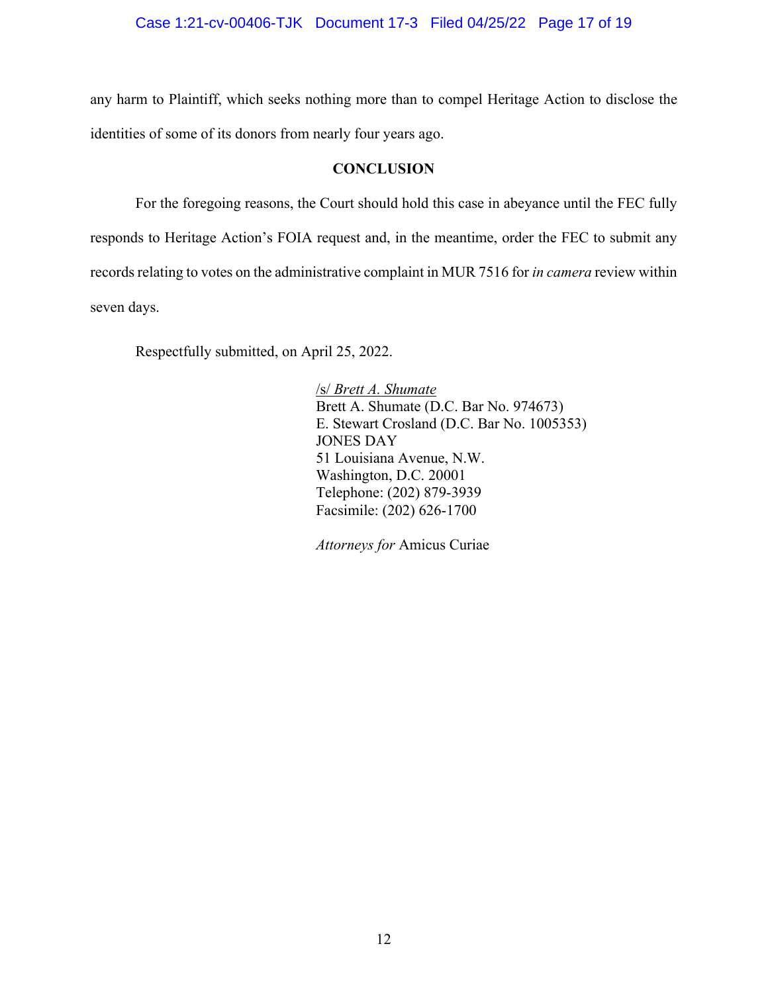<span id="page-16-0"></span>any harm to Plaintiff, which seeks nothing more than to compel Heritage Action to disclose the identities of some of its donors from nearly four years ago.

### **CONCLUSION**

For the foregoing reasons, the Court should hold this case in abeyance until the FEC fully responds to Heritage Action's FOIA request and, in the meantime, order the FEC to submit any records relating to votes on the administrative complaint in MUR 7516 for *in camera* review within seven days.

Respectfully submitted, on April 25, 2022.

 /s/ *Brett A. Shumate* Brett A. Shumate (D.C. Bar No. 974673) E. Stewart Crosland (D.C. Bar No. 1005353) JONES DAY 51 Louisiana Avenue, N.W. Washington, D.C. 20001 Telephone: (202) 879-3939 Facsimile: (202) 626-1700

*Attorneys for* Amicus Curiae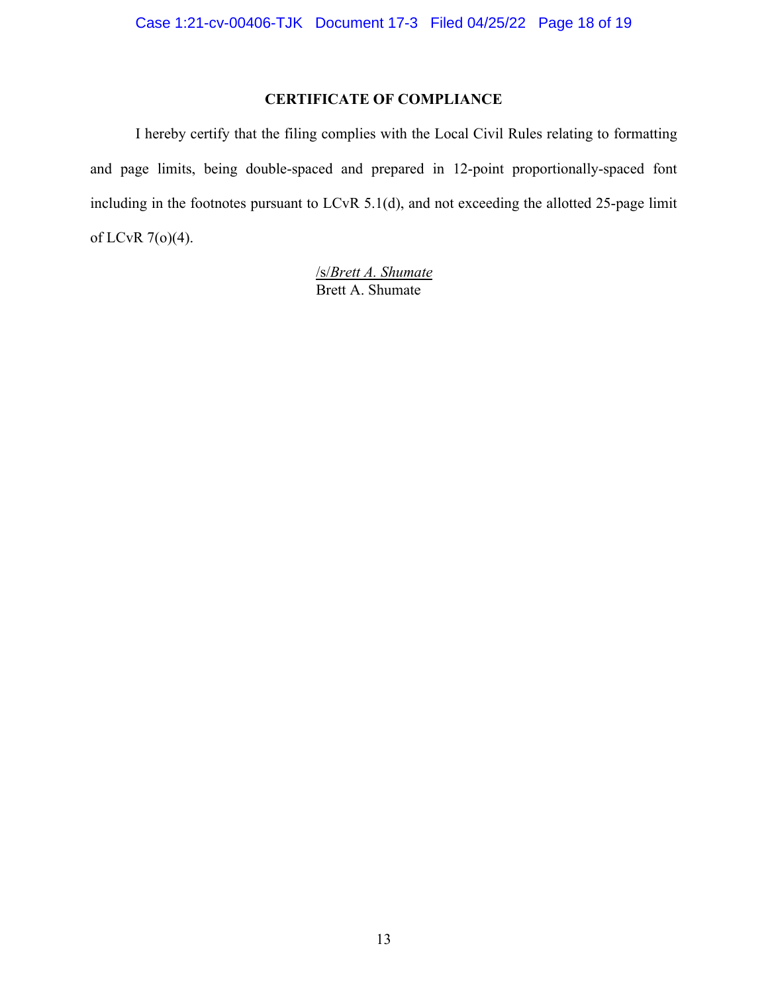# **CERTIFICATE OF COMPLIANCE**

I hereby certify that the filing complies with the Local Civil Rules relating to formatting and page limits, being double-spaced and prepared in 12-point proportionally-spaced font including in the footnotes pursuant to LCvR 5.1(d), and not exceeding the allotted 25-page limit of LCvR 7(o)(4).

> /s/*Brett A. Shumate* Brett A. Shumate